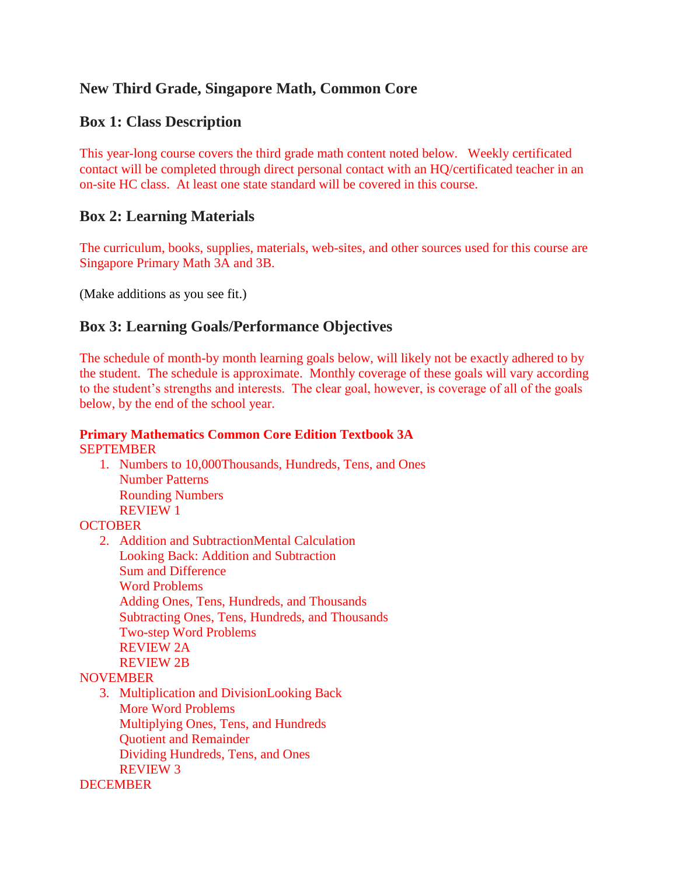# **New Third Grade, Singapore Math, Common Core**

## **Box 1: Class Description**

This year-long course covers the third grade math content noted below. Weekly certificated contact will be completed through direct personal contact with an HQ/certificated teacher in an on-site HC class. At least one state standard will be covered in this course.

## **Box 2: Learning Materials**

The curriculum, books, supplies, materials, web-sites, and other sources used for this course are Singapore Primary Math 3A and 3B.

(Make additions as you see fit.)

# **Box 3: Learning Goals/Performance Objectives**

The schedule of month-by month learning goals below, will likely not be exactly adhered to by the student. The schedule is approximate. Monthly coverage of these goals will vary according to the student's strengths and interests. The clear goal, however, is coverage of all of the goals below, by the end of the school year.

### **Primary Mathematics Common Core Edition Textbook 3A** SEPTEMBER

1. Numbers to 10,000Thousands, Hundreds, Tens, and Ones Number Patterns Rounding Numbers REVIEW 1

## **OCTOBER**

2. Addition and SubtractionMental Calculation Looking Back: Addition and Subtraction Sum and Difference Word Problems Adding Ones, Tens, Hundreds, and Thousands Subtracting Ones, Tens, Hundreds, and Thousands Two-step Word Problems REVIEW 2A REVIEW 2B

#### **NOVEMBER**

3. Multiplication and DivisionLooking Back More Word Problems Multiplying Ones, Tens, and Hundreds Quotient and Remainder Dividing Hundreds, Tens, and Ones REVIEW 3

## **DECEMBER**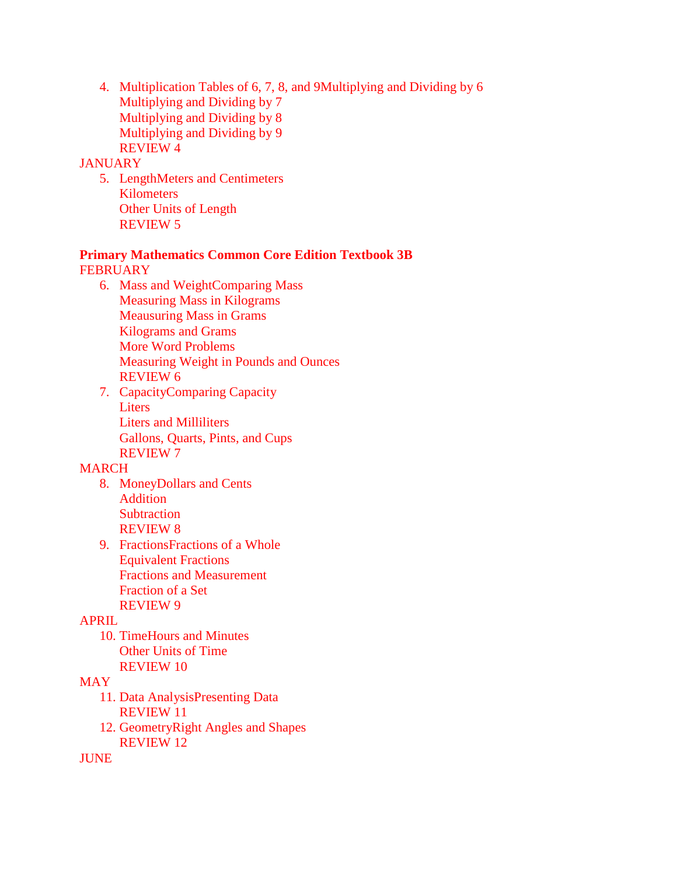4. Multiplication Tables of 6, 7, 8, and 9Multiplying and Dividing by 6 Multiplying and Dividing by 7 Multiplying and Dividing by 8 Multiplying and Dividing by 9 REVIEW 4

#### **JANUARY**

5. LengthMeters and Centimeters Kilometers Other Units of Length REVIEW 5

#### **Primary Mathematics Common Core Edition Textbook 3B FEBRUARY**

- 6. Mass and WeightComparing Mass Measuring Mass in Kilograms Meausuring Mass in Grams Kilograms and Grams More Word Problems Measuring Weight in Pounds and Ounces REVIEW 6
- 7. CapacityComparing Capacity Liters Liters and Milliliters Gallons, Quarts, Pints, and Cups REVIEW 7

#### MARCH

- 8. MoneyDollars and Cents Addition **Subtraction** REVIEW 8
- 9. FractionsFractions of a Whole Equivalent Fractions Fractions and Measurement Fraction of a Set REVIEW 9

#### APRIL

10. TimeHours and Minutes Other Units of Time REVIEW 10

### **MAY**

- 11. Data AnalysisPresenting Data REVIEW 11
- 12. GeometryRight Angles and Shapes REVIEW 12

JUNE